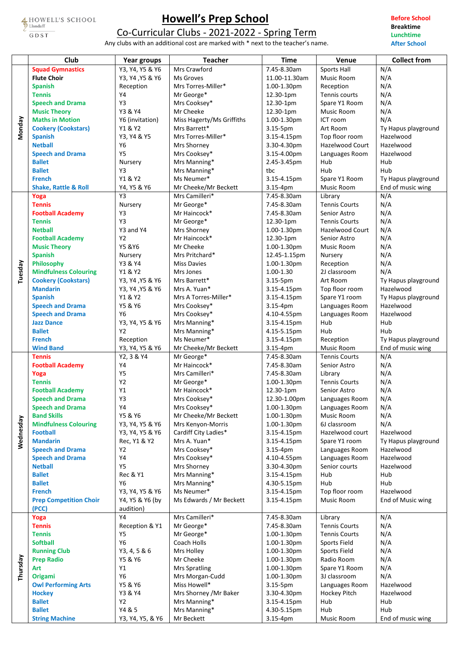HOWELL'S SCHOOL GDST

## **Howell's Prep School**

Co-Curricular Clubs - 2021-2022 - Spring Term

Any clubs with an additional cost are marked with \* next to the teacher's name.

**Before School Breaktime Lunchtime After School**

|           | Club                            | Year groups         | <b>Teacher</b>               | <b>Time</b>                | Venue                           | <b>Collect from</b> |
|-----------|---------------------------------|---------------------|------------------------------|----------------------------|---------------------------------|---------------------|
|           | <b>Squad Gymnastics</b>         | Y3, Y4, Y5 & Y6     | Mrs Crawford                 | 7.45-8.30am                | <b>Sports Hall</b>              | N/A                 |
|           | <b>Flute Choir</b>              | Y3, Y4, Y5 & Y6     | Ms Groves                    | 11.00-11.30am              | Music Room                      | N/A                 |
|           | <b>Spanish</b>                  | Reception           | Mrs Torres-Miller*           | 1.00-1.30pm                | Reception                       | N/A                 |
|           | <b>Tennis</b>                   | Y4                  | Mr George*                   | 12.30-1pm                  | Tennis courts                   | N/A                 |
|           | <b>Speech and Drama</b>         | Y3                  | Mrs Cooksey*                 | 12.30-1pm                  | Spare Y1 Room                   | N/A                 |
|           | <b>Music Theory</b>             | Y3 & Y4             | Mr Cheeke                    | 12.30-1pm                  | Music Room                      | N/A                 |
|           | <b>Maths in Motion</b>          | Y6 (invitation)     | Miss Hagerty/Ms Griffiths    | 1.00-1.30pm                | ICT room                        | N/A                 |
| Monday    | <b>Cookery (Cookstars)</b>      | Y1 & Y2             | Mrs Barrett*                 | 3.15-5pm                   | Art Room                        | Ty Hapus playground |
|           | <b>Spanish</b>                  | Y3, Y4 & Y5         | Mrs Torres-Miller*           | 3.15-4.15pm                | Top floor room                  | Hazelwood           |
|           | <b>Netball</b>                  | Y6                  |                              |                            | Hazelwood Court                 | Hazelwood           |
|           |                                 |                     | Mrs Shorney                  | 3.30-4.30pm                |                                 |                     |
|           | <b>Speech and Drama</b>         | <b>Y5</b>           | Mrs Cooksey*                 | 3.15-4.00pm                | Languages Room                  | Hazelwood           |
|           | <b>Ballet</b>                   | Nursery             | Mrs Manning*                 | 2.45-3.45pm                | Hub                             | Hub                 |
|           | <b>Ballet</b>                   | Y3                  | Mrs Manning*                 | tbc                        | Hub                             | Hub                 |
|           | <b>French</b>                   | Y1 & Y2             | Ms Neumer*                   | 3.15-4.15pm                | Spare Y1 Room                   | Ty Hapus playground |
|           | <b>Shake, Rattle &amp; Roll</b> | Y4, Y5 & Y6         | Mr Cheeke/Mr Beckett         | 3.15-4pm                   | Music Room                      | End of music wing   |
|           | Yoga                            | Y3                  | Mrs Camilleri*               | 7.45-8.30am                | Library                         | N/A                 |
|           | <b>Tennis</b>                   | Nursery             | Mr George*                   | 7.45-8.30am                | <b>Tennis Courts</b>            | N/A                 |
|           | <b>Football Academy</b>         | Y3                  | Mr Haincock*                 | 7.45-8.30am                | Senior Astro                    | N/A                 |
|           | <b>Tennis</b>                   | Y3                  | Mr George*                   | 12.30-1pm                  | <b>Tennis Courts</b>            | N/A                 |
|           | <b>Netball</b>                  | Y3 and Y4           | Mrs Shorney                  | 1.00-1.30pm                | <b>Hazelwood Court</b>          | N/A                 |
|           | <b>Football Academy</b>         | Y2                  | Mr Haincock*                 | 12.30-1pm                  | Senior Astro                    | N/A                 |
|           | <b>Music Theory</b>             | Y5 & Y6             | Mr Cheeke                    | 1.00-1.30pm                | Music Room                      | N/A                 |
|           | <b>Spanish</b>                  | Nursery             | Mrs Pritchard*               | 12.45-1.15pm               | Nursery                         | N/A                 |
|           |                                 |                     | <b>Miss Davies</b>           |                            |                                 |                     |
| Tuesday   | Philosophy                      | Y3 & Y4             |                              | 1.00-1.30pm                | Reception                       | N/A                 |
|           | <b>Mindfulness Colouring</b>    | Y1 & Y2             | Mrs Jones                    | 1.00-1.30                  | 2J classroom                    | N/A                 |
|           | <b>Cookery (Cookstars)</b>      | Y3, Y4, Y5 & Y6     | Mrs Barrett*                 | 3.15-5pm                   | Art Room                        | Ty Hapus playground |
|           | <b>Mandarin</b>                 | Y3, Y4, Y5 & Y6     | Mrs A. Yuan*                 | 3.15-4.15pm                | Top floor room                  | Hazelwood           |
|           | <b>Spanish</b>                  | Y1 & Y2             | Mrs A Torres-Miller*         | 3.15-4.15pm                | Spare Y1 room                   | Ty Hapus playground |
|           | <b>Speech and Drama</b>         | Y5 & Y6             | Mrs Cooksey*                 | 3.15-4pm                   | Languages Room                  | Hazelwood           |
|           | <b>Speech and Drama</b>         | Y6                  | Mrs Cooksey*                 | 4.10-4.55pm                | Languages Room                  | Hazelwood           |
|           | <b>Jazz Dance</b>               | Y3, Y4, Y5 & Y6     | Mrs Manning*                 | 3.15-4.15pm                | Hub                             | Hub                 |
|           | <b>Ballet</b>                   | Y <sub>2</sub>      | Mrs Manning*                 | 4.15-5.15pm                | Hub                             | Hub                 |
|           | <b>French</b>                   | Reception           | Ms Neumer*                   | 3.15-4.15pm                | Reception                       | Ty Hapus playground |
|           | <b>Wind Band</b>                | Y3, Y4, Y5 & Y6     | Mr Cheeke/Mr Beckett         | 3.15-4pm                   | Music Room                      | End of music wing   |
|           | <b>Tennis</b>                   | Y2.3 & Y4           | Mr George*                   | 7.45-8.30am                | <b>Tennis Courts</b>            | N/A                 |
|           | <b>Football Academy</b>         | Y4                  | Mr Haincock*                 | 7.45-8.30am                | Senior Astro                    | N/A                 |
|           |                                 | Y5                  | Mrs Camilleri*               | 7.45-8.30am                | Library                         | N/A                 |
|           | Yoga                            | Y2                  | Mr George*                   |                            | <b>Tennis Courts</b>            |                     |
|           | <b>Tennis</b>                   |                     |                              | 1.00-1.30pm                |                                 | N/A                 |
|           | <b>Football Academy</b>         | Y1                  | Mr Haincock*                 | 12.30-1pm                  | Senior Astro                    | N/A                 |
|           | <b>Speech and Drama</b>         | Y3                  | Mrs Cooksey*                 | 12.30-1.00pm               | Languages Room                  | N/A                 |
|           | <b>Speech and Drama</b>         | Y4                  | Mrs Cooksey*                 | 1.00-1.30pm                | Languages Room                  | N/A                 |
|           | <b>Band Skills</b>              | Y5 & Y6             |                              |                            |                                 |                     |
|           |                                 |                     | Mr Cheeke/Mr Beckett         | 1.00-1.30pm                | Music Room                      | N/A                 |
| Wednesday | <b>Mindfulness Colouring</b>    | Y3, Y4, Y5 & Y6     | Mrs Kenyon-Morris            | 1.00-1.30pm                | 6J classroom                    | N/A                 |
|           | <b>Football</b>                 | Y3, Y4, Y5 & Y6     | Cardiff City Ladies*         | 3.15-4.15pm                | Hazelwood court                 | Hazelwood           |
|           | <b>Mandarin</b>                 | Rec, Y1 & Y2        | Mrs A. Yuan*                 | 3.15-4.15pm                | Spare Y1 room                   | Ty Hapus playground |
|           | <b>Speech and Drama</b>         | Y2                  | Mrs Cooksey*                 | 3.15-4pm                   | Languages Room                  | Hazelwood           |
|           | <b>Speech and Drama</b>         | Y4                  | Mrs Cooksey*                 | 4.10-4.55pm                |                                 | Hazelwood           |
|           | <b>Netball</b>                  | <b>Y5</b>           | Mrs Shorney                  |                            | Languages Room<br>Senior courts | Hazelwood           |
|           |                                 |                     |                              | 3.30-4.30pm                |                                 |                     |
|           | <b>Ballet</b>                   | <b>Rec &amp; Y1</b> | Mrs Manning*                 | 3.15-4.15pm                | Hub                             | Hub                 |
|           | <b>Ballet</b>                   | Y6                  | Mrs Manning*                 | 4.30-5.15pm                | Hub                             | Hub                 |
|           | <b>French</b>                   | Y3, Y4, Y5 & Y6     | Ms Neumer*                   | 3.15-4.15pm                | Top floor room                  | Hazelwood           |
|           | <b>Prep Competition Choir</b>   | Y4, Y5 & Y6 (by     | Ms Edwards / Mr Beckett      | 3.15-4.15pm                | Music Room                      | End of Music wing   |
|           | (PCC)                           | audition)           |                              |                            |                                 |                     |
|           | Yoga                            | Y4                  | Mrs Camilleri*               | 7.45-8.30am                | Library                         | N/A                 |
|           | <b>Tennis</b>                   | Reception & Y1      | Mr George*                   | 7.45-8.30am                | <b>Tennis Courts</b>            | N/A                 |
|           | <b>Tennis</b>                   | Y5                  | Mr George*                   | 1.00-1.30pm                | <b>Tennis Courts</b>            | N/A                 |
|           | <b>Softball</b>                 | Y6                  | Coach Holls                  | 1.00-1.30pm                | Sports Field                    | N/A                 |
|           | <b>Running Club</b>             | Y3, 4, 5 & 6        | Mrs Holley                   | 1.00-1.30pm                | Sports Field                    | N/A                 |
|           | <b>Prep Radio</b>               | Y5 & Y6             | Mr Cheeke                    | 1.00-1.30pm                | Radio Room                      | N/A                 |
|           | Art                             | Y1                  | <b>Mrs Spratling</b>         | 1.00-1.30pm                | Spare Y1 Room                   | N/A                 |
| Thursday  | Origami                         | Y6                  | Mrs Morgan-Cudd              | 1.00-1.30pm                | 3J classroom                    | N/A                 |
|           | <b>Owl Performing Arts</b>      | Y5 & Y6             | Miss Howell*                 | 3.15-5pm                   | Languages Room                  | Hazelwood           |
|           | <b>Hockey</b>                   | Y3 & Y4             | Mrs Shorney / Mr Baker       | 3.30-4.30pm                |                                 | Hazelwood           |
|           | <b>Ballet</b>                   | Y2                  |                              |                            | <b>Hockey Pitch</b><br>Hub      | Hub                 |
|           | <b>Ballet</b>                   | Y4 & 5              | Mrs Manning*<br>Mrs Manning* | 3.15-4.15pm<br>4.30-5.15pm | Hub                             | Hub                 |